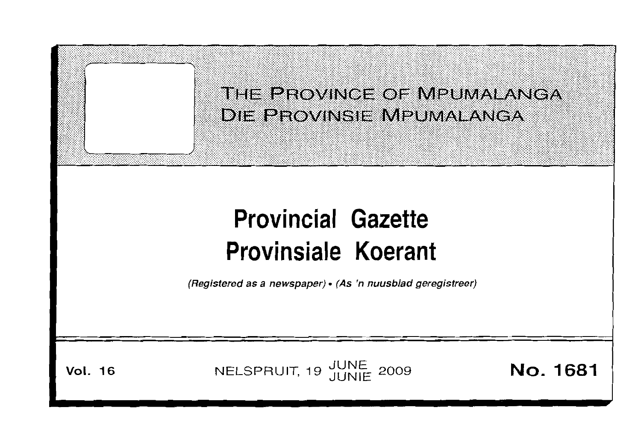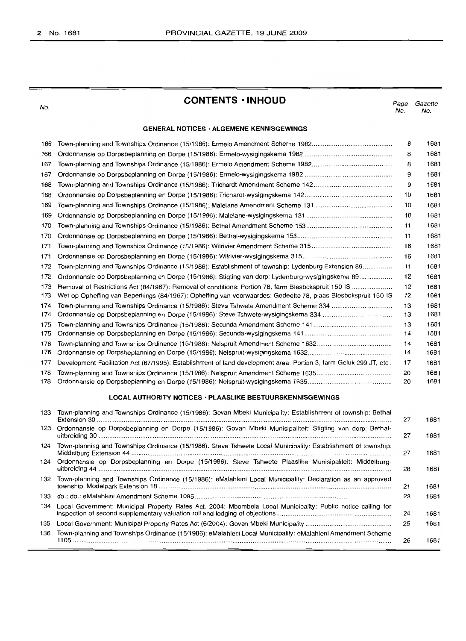No.

## **CONTENTS· INHOUD**

*Page* No. *Gazette* No.

## **GENERAL NOTICES· ALGEMENE KENNISGEWINGS**

| 166 |                                                                                                                    | 8  | 1681 |
|-----|--------------------------------------------------------------------------------------------------------------------|----|------|
| 166 |                                                                                                                    | 8  | 1681 |
| 167 |                                                                                                                    | 8  | 1681 |
| 167 |                                                                                                                    | 9  | 1681 |
| 168 |                                                                                                                    | 9  | 1681 |
| 168 |                                                                                                                    | 10 | 1681 |
| 169 |                                                                                                                    | 10 | 1681 |
| 169 |                                                                                                                    | 10 | 1681 |
| 170 |                                                                                                                    | 11 | 1681 |
| 170 |                                                                                                                    | 11 | 1681 |
| 171 |                                                                                                                    | 16 | 1681 |
| 171 |                                                                                                                    | 16 | 1681 |
| 172 | Town-planning and Townships Ordinance (15/1986): Establishment of township: Lydenburg Extension 89                 | 11 | 1681 |
| 172 | Ordonnansie op Dorpsbeplanning en Dorpe (15/1986): Stigting van dorp: Lydenburg-wysigingskema 89                   | 12 | 1681 |
| 173 |                                                                                                                    | 12 | 1681 |
| 173 | Wet op Opheffing van Beperkings (84/1967): Opheffing van voorwaardes: Gedeelte 78, plaas Blesbokspruit 150 IS      | 12 | 1681 |
| 174 | Town-planning and Townships Ordinance (15/1986): Steve Tshwete Amendment Scheme 334                                | 13 | 1681 |
| 174 |                                                                                                                    | 13 | 1681 |
| 175 |                                                                                                                    | 13 | 1681 |
| 175 |                                                                                                                    | 14 | 1681 |
| 176 |                                                                                                                    | 14 | 1681 |
| 176 |                                                                                                                    | 14 | 1681 |
| 177 | Development Facilitation Act (67/1995): Establishment of land development area: Portion 3, farm Geluk 299 JT, etc. | 17 | 1681 |
| 178 |                                                                                                                    | 20 | 1681 |
| 178 |                                                                                                                    | 20 | 1681 |
|     | <b>LOCAL AUTHORITY NOTICES · PLAASLIKE BESTUURSKENNISGEWINGS</b>                                                   |    |      |
| 123 | Town-planning and Townships Ordinance (15/1986): Govan Mbeki Municipality: Establishment of township: Bethal       | 27 | 1681 |
| 123 | Ordonnansie op Dorpsbeplanning en Dorpe (15/1986): Govan Mbeki Munisipaliteit: Stigting van dorp: Bethal-          | 27 | 1681 |
| 124 | Town-planning and Townships Ordinance (15/1986): Steve Tshwete Local Municipality: Establishment of township:      | 27 | 1681 |
| 101 | Ordennesseig en Dernebenlenning en Derne (15/1086); Ctove Tebwete Placelike Municipaliteit: Middelburg             |    |      |

|     | 124 Ordonnansie op Dorpsbeplanning en Dorpe (15/1986): Steve Tshwete Plaaslike Munisipaliteit: Middelburg-     | 28 | 1681 |
|-----|----------------------------------------------------------------------------------------------------------------|----|------|
|     | 132 Town-planning and Townships Ordinance (15/1986): eMalahleni Local Municipality: Declaration as an approved | 21 | 1681 |
|     |                                                                                                                | 23 | 1681 |
| 134 | Local Government: Municipal Property Rates Act, 2004: Mbombela Local Municipality: Public notice calling for   | 24 | 1681 |
| 135 |                                                                                                                | 25 | 1681 |
| 136 | Town-planning and Townships Ordinance (15/1986): eMalahleni Local Municipality: eMalahleni Amendment Scheme    | 26 | 1681 |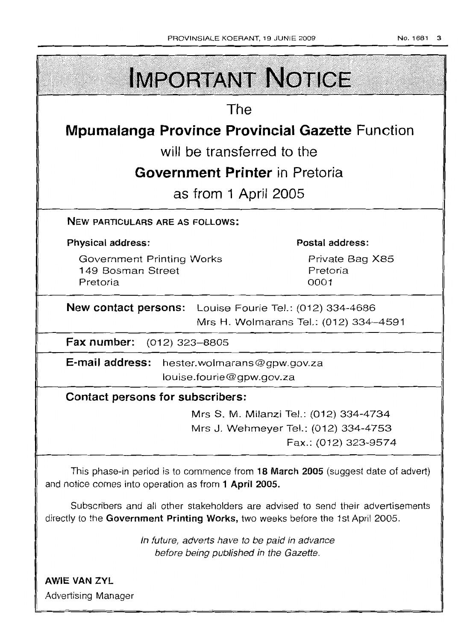| The                                                                                                                           |                                                              |  |
|-------------------------------------------------------------------------------------------------------------------------------|--------------------------------------------------------------|--|
|                                                                                                                               |                                                              |  |
| <b>Mpumalanga Province Provincial Gazette Function</b><br>will be transferred to the<br><b>Government Printer</b> in Pretoria |                                                              |  |
|                                                                                                                               |                                                              |  |
| NEW PARTICULARS ARE AS FOLLOWS:                                                                                               |                                                              |  |
| <b>Physical address:</b>                                                                                                      | Postal address:                                              |  |
| <b>Government Printing Works</b><br>149 Bosman Street<br>Pretoria                                                             | Private Bag X85<br>Pretoria<br>0001                          |  |
| <b>New contact persons:</b> Louise Fourie Tel.: (012) 334-4686                                                                | Mrs H. Wolmarans Tel.: (012) 334-4591                        |  |
| Fax number: (012) 323-8805                                                                                                    |                                                              |  |
| E-mail address: hester.wolmarans@gpw.gov.za<br>louise.fourie@gpw.gov.za                                                       |                                                              |  |
| <b>Contact persons for subscribers:</b>                                                                                       |                                                              |  |
|                                                                                                                               | Mrs S. M. Milanzi Tel.: (012) 334-4734                       |  |
|                                                                                                                               | Mrs J. Wehmeyer Tel.: (012) 334-4753<br>Fax.: (012) 323-9574 |  |

Subscribers and all other stakeholders are advised to send their advertisements directly to the **Government Printing Works,** two weeks before the 1st April 2005.

> In future, adverts have to be paid in advance before being published in the Gazette.

**AWIE VAN ZYL** Advertising Manager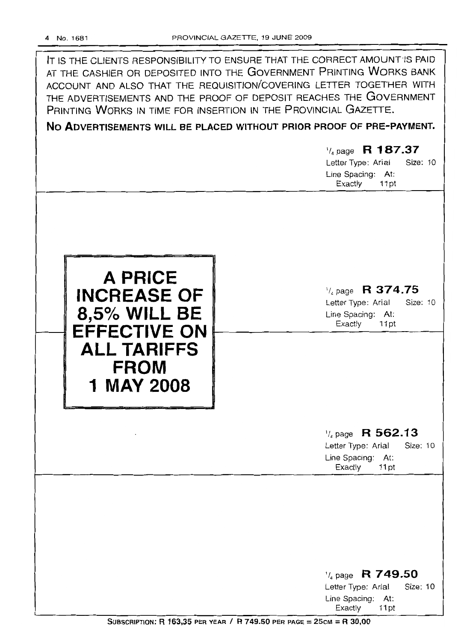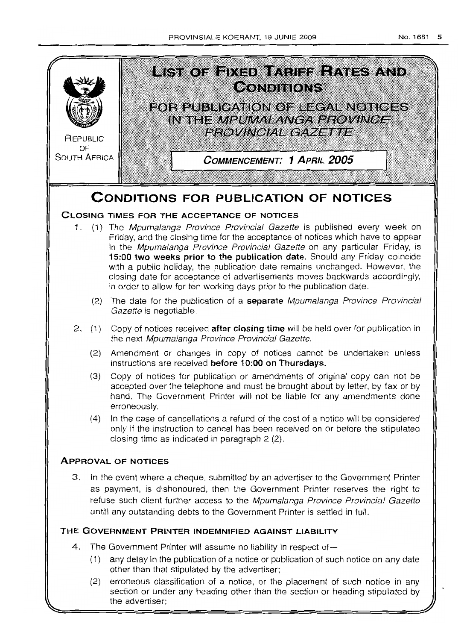

the advertiser;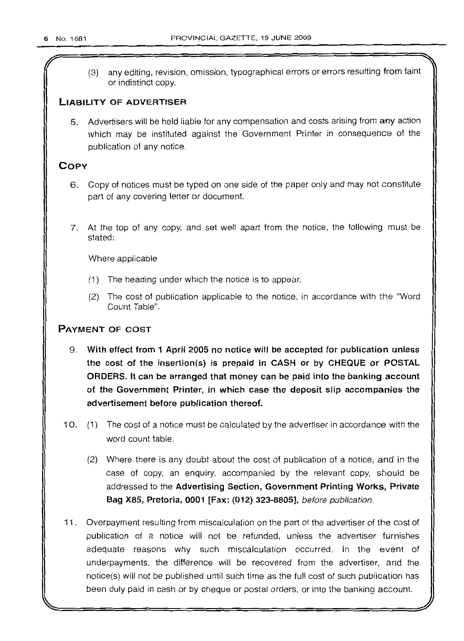(3) any editing, revision, omission, typographical errors or errors resulting from faint or indistinct copy.

## **LIABILITY OF ADVERTISER**

5. Advertisers will be held liable for any compensation and costs arising from any action which may be instituted against the Government Printer in consequence of the publication of any notice.

## **COpy**

- 6. Copy of notices must be typed on one side of the paper only and may not constitute part of any covering letter or document.
- 7. At the top of any copy, and set well apart from the notice, the following must be stated:

Where applicable

- (1) The heading under which the notice is to appear.
- (2) The cost of publication applicable to the notice, in accordance with the "Word Count Table".

## **PAYMENT OF COST**

- 9. **With effect from 1 April 2005 no notice will be accepted for publication unless the cost of the insertion(s) is prepaid in CASH or by CHEQUE or POSTAL ORDERS. It can be arranged that money can be paid into the banking account of the Government Printer, in which case the deposit slip accompanies the advertisement before publication thereof.**
- 10. (1) The cost of a notice must be calculated by the advertiser in accordance with the word count table.
	- (2) Where there is any doubt about the cost of publication of a notice, and in the case of copy, an enquiry, accompanied by the relevant copy, should be addressed to the **Advertising Section, Government Printing Works, Private Bag X85, Pretoria, 0001 [Fax: (012) 323-8805],** before publication.
- 11. Overpayment resulting from miscalculation on the part of the advertiser of the cost of publication of a notice will not be refunded, unless the advertiser furnishes adequate reasons why such miscalculation occurred. In the event of underpayments, the difference will be recovered from the advertiser, and the notice(s) will not be published until such time as the full cost of such publication has been duly paid in cash or by cheque or postal orders, or into the banking account.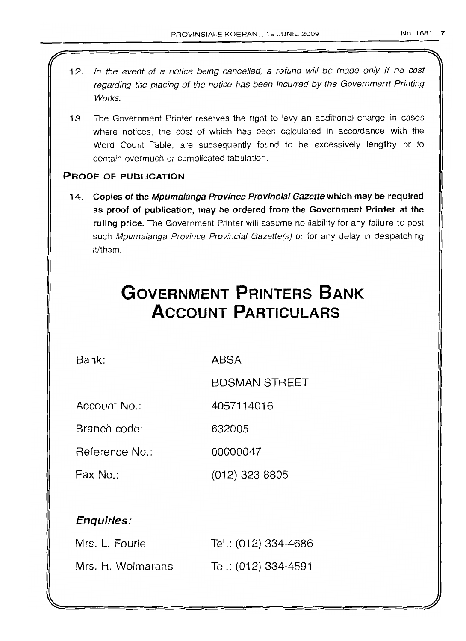- 12. In the event of a notice being cancelled, a refund will be made only if no cost regarding the placing of the notice has been incurred by the Government Printing Works.
- 13. The Government Printer reserves the right to levy an additional charge in cases where notices, the cost of which has been calculated in accordance with the Word Count Table, are subsequently found to be excessively lengthy or to contain overmuch or complicated tabulation.

## PROOF OF PUBLICATION

14. Copies of the Mpumalanga Province Provincial Gazette which may be required as proof of publication, may be ordered from the Government Printer at the ruling price. The Government Printer will assume no liability for any failure to post such Mpumalanga Province Provincial Gazette(s) or for any delay in despatching it/them.

# **GOVERNMENT PRINTERS BANK ACCOUNT PARTICULARS**

Bank: ABSA

BOSMAN STREET

Account No.: 4057114016

Branch code: 632005

Reference No.: 00000047

Fax No.: (012) 323 8805

## Enquiries:

| Mrs. L. Fourie    | Tel.: (012) 334-4686 |
|-------------------|----------------------|
| Mrs. H. Wolmarans | Tel.: (012) 334-4591 |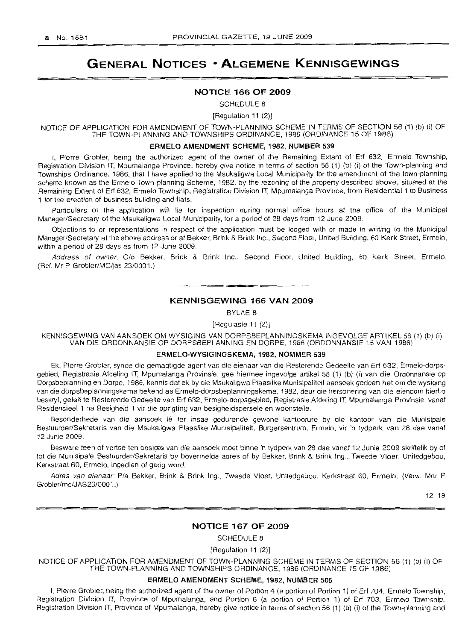## **GENERAL NOTICES • ALGEMENE KENNISGEWINGS**

#### NOTICE 166 OF 2009

SCHEDULE 8

[Regulation 11 (2)]

NOTICE OF APPLICATION FOR AMENDMENT OF TOWN-PLANNING SCHEME IN TERMS OF SECTION 56 (1) (b) (i) OF THE TOWN-PLANNING AND TOWNSHIPS ORDINANCE, 1986 (ORDINANCE 15 OF 1986)

#### ERMELO AMENDMENT SCHEME, 1982, NUMBER 539

I, Pierre Grabler, being the authorized agent of the owner of the Remaining Extent of Err 632, Ermelo Township, Registration Division IT, Mpumalanga Province, hereby give notice in terms of section 56 (1) (b) (i) of the Town-planning and Townships Ordinance, 1986, that I have applied to the Msukaligwa Local Municipality for the amendment of the town-planning scheme known as the Ermelo Town-planning Scheme, 1982, by the rezoning of the property described above, situated at the Remaining Extent of Erf 632, Ermelo Township, Registration Division IT, Mpumalanga Province, from Residential 1 to Business 1 for the erection of business building and flats.

Particulars of the application will lie for inspection during normal office hours at the office of the Municipal ManagerlSecretary of the Msukaligwa Local Municipality, for a period of 28 days from 12 June 2009.

Objections to or representations in respect of the application must be lodged with or made in writing to the Municipal ManagerlSecretary at the above address or at Bekker, Brink & Brink Inc., Second Floor, United Building, 60 Kerk Street, Ermelo, within a period of 28 days as from 12 June 2009.

Address of owner: C/o Bekker, Brink & Brink Inc., Second Floor, United Building, 60 Kerk Street, Ermelo. (Ref. Mr P Grobler/MC/jas 23/0001.)

## **•** KENNISGEWING 166 VAN 2009

BYLAE 8

[Regulasie 11 (2)]

KENNISGEWING VAN AANSOEK OM WYSIGING VAN DORPSBEPLANNINGSKEMA INGEVOLGE ARTIKEL 56 (1) (b) (i) VAN DIE ORDONNANSIE OP DORPSBEPLANNING EN DORPE, 1986 (ORDONNANSIE 15 VAN 1986)

## ERMELO-WYSIGINGSKEMA, 1982, NOMMER 539

Ek, Pierre Grobler, synde die gemagtigde agent van die eienaar van die Resterende Gedeelte van Erf 632, Ermelo-dorpsgebied, Registrasie Afdeling IT, Mpumalanga Provinsie, gee hiermee ingevolge artikel 56 (1) (b) (i) van die Ordonnansie ap Dorpsbeplanning en Dorpe, 1986, kennis dat ek by die Msukaligwa Plaaslike Munisipaliteit aansoek gedoen het om die wysiging van die dorpsbeplanningskema bekend as Errnelo-dorpsbeplanninqskerna, 1982, deur die hersonering van die eiendom hierbo beskryf, geleë te Resterende Gedeelte van Erf 632, Ermelo-dorpsgebied, Registrasie Afdeling IT, Mpumalanga Provinsie, vanaf Residensieel 1 na Besigheid 1 vir die oprigting van besigheidspersele en woonstelle.

Besonderhede van die aansoek Ie ter insae gedurende gewone kantoorure by die kantoor van die Munisipale Bestuurder/Sekretaris van die Msukaligwa Plaaslike Munisipaliteit, Burgersentrum, Ermelo, vir 'n tydperk van 28 dae vanaf 12 Junie 2009.

Besware teen of vertoë ten opsigte van die aansoek moet binne 'n tydperk van 28 dae vanaf 12 Junie 2009 skriftelik by of tot die Munisipale Bestuurder/Sekretaris by bovermelde adres of by Bekker, Brink & Brink Ing., Tweede Vloer, Unitedgebou, Kerkstraat 60, Ermelo, ingedien of gerig word.

Adres van eienaar: P/a Bekker, Brink & Brink Ing., Tweede Vloer, Unitedgebou, Kerkstraat 60, Ermelo. (Verw. Mnr P Grobler/mc/JAS23/0001.)

12-19

#### NOTICE 167 OF 2009

SCHEDULE 8

[Regulation 11 (2)]

NOTICE OF APPLICATION FOR AMENDMENT OF TOWN-PLANNING SCHEME IN TERMS OF SECTION 56 (1) (b) (i) OF THE TOWN-PLANNING AND TOWNSHIPS ORDINANCE, 1986 (ORDINANCE 15 OF 1986)

## ERMELO AMENDMENT SCHEME, 1982, NUMBER 506

I, Pierre Grobler, being the authorized agent of the owner of Portion 4 (a portion of Portion 1) of Erf 704, Ermelo Township, Registration Division IT, Province of Mpumalanga, and Portion 6 (a portion of Portion 1) of Err 703, Ermelo Township, Registration Division IT, Province of Mpumalanga, hereby give notice in terms of section 56 (1) (b) (i) of the Town-planning and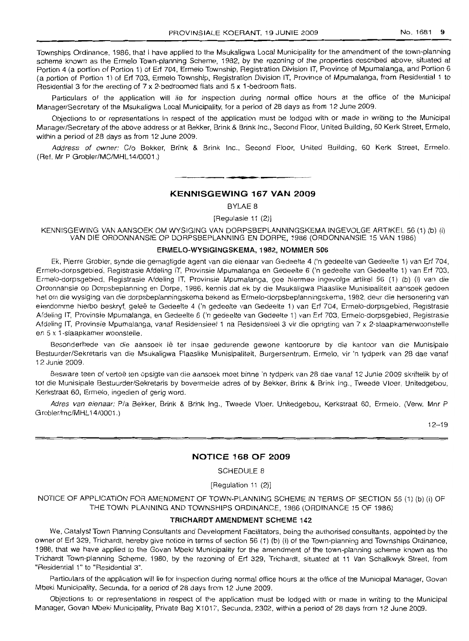Townships Ordinance, 1986, that I have applied to the Msukaligwa Local Municipality for the amendment of the town-planning scheme known as the Ermelo Town-planning Scheme, 1982, by the rezoning of the properties described above, situated at Portion 4 (a portion of Portion 1) of Erf 704, Ermelo Township, Registration Division IT, Province of Mpumalanga, and Portion 6 (a portion of Portion 1) of Erf 703, Ermelo Township, Registration Division IT, Province of Mpumalanga, from Residential 1 to Residential 3 for the erecting of 7 x 2-bedroomed flats and 5 x 1-bedroom flats.

Particulars of the application will lie for inspection during normal office hours at the office of the Municipal Manager/Secretary of the Msukaligwa Local Municipality, for a period of 28 days as from 12 June 2009.

Objections to or representations in respect of the application must be lodged with or made in writing to the Municipal Manager/Secretary of the above address or at Bekker, Brink & Brink Inc., Second Floor, United Building, 60 Kerk Street, Ermelo, within a period of 28 days as from 12 June 2009.

Address of owner: C/o Bekker, Brink & Brink Inc., Second Floor, United BUilding, 60 Kerk Street, Ermelo. (Ref. Mr P Grobler/MC/MHL14/0001.)

#### **KENNISGEWING 167 VAN 2009**

**-**

BYLAE 8

[Regulasie 11 (2)]

KENNISGEWING VAN AANSOEK OM WYSIGING VAN DORPSBEPLANNINGSKEMA INGEVOLGE ARTIKEL 56 (1) (b) (i) VAN DIE ORDONNANSIE OP DORPSBEPLANNING EN DORPE. 1986 (ORDONNANSIE 15 VAN 1986)

#### **ERMELO-WYSIGINGSKEMA, 1982, NOMMER 506**

Ek, Pierre Grobler, synde die gemagtigde agent van die eienaar van Gedeelte 4 ('n gedeelte van Gedeelte 1) van Erf 704, Ermelo-dorpsgebied, Registrasie Afdeling IT, Provinsie Mpumalanga en Gedeelte 6 ('n gedeelte van Gedeelte 1) van Erf 703, Ermelo-dorpsgebied, Registrasie Afdeling IT, Provinsie Mpumalanga, gee hiermee ingevolge artikel 56 (1) (b) (i) van die Ordonnansie op Dorpsbeplanning en Dorpe, 1986, kennis dat ek by die Msukaligwa Plaaslike Munisipaliteit aansoek gedoen het om die wysiging van die dorpsbeplanningskema bekend as Ermelo-dorpsbeplanningskema, 1982, deur die hersonering van eiendomme hierbo beskryf, geleë te Gedeelte 4 ('n gedeelte van Gedeelte 1) van Erf 704, Ermelo-dorpsgebied, Registrasie Afdeling IT, Provinsie Mpumalanga, en Gedeelte 6 ('n gedeelte van Gedeelte 1) van Erf 703, Ermelo-dorpsgebied, Registrasie Afdeling IT, Provinsie Mpumalanga, vanaf Residensieel 1 na Residensieel 3 vir die oprigting van 7 x 2-slaapkamerwoonstelle en 5 x 1-slaapkamer woonstelle.

Besonderhede van die aansoek Ie ter insae gedurende gewone kantoorure by die kantoor van die Munisipale Bestuurder/Sekretaris van die Msukaligwa Plaaslike Munisipaliteit, Burgersentrum, Ermelo, vir 'n tydperk van 28 dae vanaf 12 Junie 2009.

Besware teen of vertoë ten opsigte van die aansoek moet binne 'n tydperk van 28 dae vanaf 12 Junie 2009 skriftelik by of tot die Munisipale Bestuurder/Sekretaris by bovermelde adres of by Bekker, Brink & Brink Ing., Tweede Vloer, Unitedgebou, Kerkstraat 60, Ermelo, ingedien of gerig word.

Adres van eienaar: P/a Bekker, Brink & Brink Ing., Tweede Vloer, Unitedgebou, Kerkstraat 60, Ermelo. (Verw. Mnr P Grobler/mc/MHL14/0001.)

12-19

#### **NOTICE 168 OF 2009**

SCHEDULE 8

[Regulation 11 (2)]

NOTICE OF APPLICATION FOR AMENDMENT OF TOWN-PLANNING SCHEME IN TERMS OF SECTION 56 (1) (b) (i) OF THE TOWN PLANNING AND TOWNSHIPS ORDINANCE, 1986 (ORDINANCE 15 OF 1986)

#### **TRICHARDT AMENDMENT SCHEME 142**

We, Catalyst Town Planning Consultants and Development Facilitators, being the authorised consultants, appointed by the owner of Erf 329, Trichardt, hereby give notice in terms of section 56 (1) (b) (i) of the Town-planning and Townships Ordinance, 1986, that we have applied to the Govan Mbeki Municipality for the amendment of the town-planning scheme known as the Trichardt Town-planning Scheme, 1980, by the rezoning of Erf 329, Trichardt, situated at 11 Van Schalkwyk Street, from "Residential 1" to "Residential 3".

Particulars of the application will lie for inspection during normal office hours at the office of the Municipal Manager, Govan Mbeki Municipality, Secunda, for a period of 28 days from 12 June 2009.

Objections to or representations in respect of the application must be lodged with or made in writing to the Municipal Manager, Govan Mbeki Municipality, Private Bag X1017, Secunda, 2302, within a period of 28 days from 12 June 2009.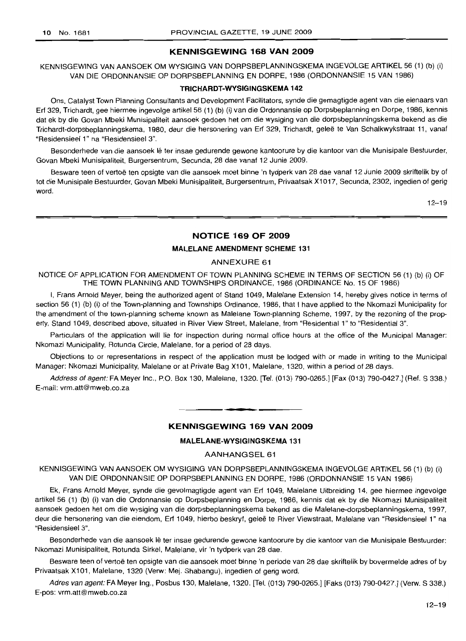#### **KENNISGEWING 168 VAN 2009**

KENNISGEWING VAN AANSOEK OM WYSIGING VAN DORPSBEPLANNINGSKEMA INGEVOLGE ARTIKEL 56 (1) (b) (i) VAN DIE ORDONNANSIE OP DORPSBEPLANNING EN DORPE, 1986 (ORDONNANSIE 15 VAN 1986)

## **TRICHARDT-WYSIGINGSKEMA** 142

Ons, Catalyst Town Planning Consultants and Development Facilitators, synde die gemagtigde agent van die eienaars van Erf 329, Trichardt, gee hiermee ingevolge artikel 56 (1) (b) (i) van die Ordonnansie op Dorpsbeplanning en Dorpe, 1986, kennis dat ek by die Govan Mbeki Munisipaliteit aansoek gedoen het om die wysiging van die dorpsbeplanningskema bekend as die Trichardt-dorpsbeplanningskema, 1980, deur die hersonering van Erf 329, Trichardt, gelee te Van Schalkwykstraat 11, vanaf "Residensieel 1" na "Residensieel 3".

Besonderhede van die aansoek lê ter insae gedurende gewone kantoorure by die kantoor van die Munisipale Bestuurder, Govan Mbeki Munisipaliteit, Burgersentrum, Secunda, 28 dae vanaf 12 Junie 2009.

Besware teen of vertoë ten opsigte van die aansoek moet binne 'n tydperk van 28 dae vanaf 12 Junie 2009 skriftelik by of tot die Munisipale Bestuurder, Govan Mbeki Munisipaliteit, Burgersentrum, Privaatsak X1017, Secunda, 2302, ingedien of gerig word.

 $12 - 19$ 

## **NOTICE 169 OF 2009**

## **MALELANE AMENDMENT SCHEME** 131

#### ANNEXURE 61

NOTICE OF APPLICATION FOR AMENDMENT OF TOWN PLANNING SCHEME IN TERMS OF SECTION 56 (1) (b) (i) OF THE TOWN PLANNING AND TOWNSHIPS ORDINANCE, 1986 (ORDINANCE No. 15 OF 1986)

I, Frans Arnold Meyer, being the authorized agent of Stand 1049, Malelane Extension 14, hereby gives notice in terms of section 56 (1) (b) (i) of the Town-planning and Townships Ordinance, 1986, that I have applied to the Nkomazi Municipality for the amendment of the town-planning scheme known as Malelane Town-planning Scheme, 1997, by the rezoning of the property, Stand 1049, described above, situated in River View Street, Malelane, from "Residential 1" to "Residential 3".

Particulars of the application will lie for inspection during normal office hours at the office of the Municipal Manager: Nkomazi Municipality, Rotunda Circle, Malelane, for a period of 28 days.

Objections to or representations in respect of the application must be lodged with or made in writing to the Municipal Manager: Nkomazi Municipality, Malelane or at Private Bag X101, Malelane, 1320, within a period of 28 days.

Address of agent: FA Meyer Inc., P.O. Box 130, Malelane, 1320. [Tel. (013) 790-0265.] [Fax (013) 790-0427.] (Ref. S 338.) E-mail: vrm.att@mweb.co.za

## **KENNISGEWING 169 VAN 2009**

**.-**

## **MALELANE-WYSIGINGSKEMA** 131

AANHANGSEL 61

KENNISGEWING VAN AANSOEK OM WYSIGING VAN DORPSBEPLANNINGSKEMA INGEVOLGE ARTIKEL 56 (1) (b) (i) VAN DIE ORDONNANSIE OP DORPSBEPLANNING EN DORPE, 1986 (ORDONNANSIE 15 VAN 1986)

Ek, Frans Arnold Meyer, synde die gevolmagtigde agent van Erf 1049, Malelane Uitbreiding 14, gee hiermee ingevolge artikel 56 (1) (b) (i) van die Ordonnansie op Dorpsbeplanning en Dorpe, 1986, kennis dat ek by die Nkomazi Munisipaliteit aansoek gedoen het om die wysiging van die dorpsbeplanningskema bekend as die Malelane-dorpsbeplanningskema, 1997, deur die hersonering van die eiendom, Erf 1049, hierbo beskryf, gelee te River Viewstraat, Malelane van "Residensieel 1" na "Residensieel 3".

Besonderhede van die aansoek Ie ter insae gedurende gewone kantoorure by die kantoor van die Munisipale Bestuurder: Nkomazi Munisipaliteit, Rotunda Sirkel, Malelane, vir 'n tydperk van 28 dae.

Besware teen of vertoë ten opsigte van die aansoek moet binne 'n periode van 28 dae skriftelik by bovermelde adres of by Privaatsak X101, Malelane, 1320 (Verw: Mej. Shabangu), ingedien of gerig word.

Adres van agent: FA Meyer Ing., Posbus 130, Malelane, 1320. [Tel. (013) 790-0265.] [Faks (013) 790-0427.] (Verw. S 338.) E-pos: vrm.att@mweb.co.za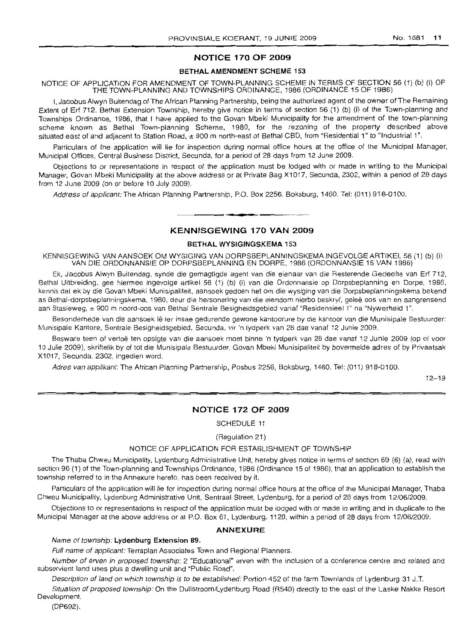## **NOTICE 170 OF 2009**

#### **BETHAL AMENDMENT SCHEME 153**

NOTICE OF APPLICATION FOR AMENDMENT OF TOWN-PLANNING SCHEME IN TERMS OF SECTION 56 (1) (b) (i) OF THE TOWN-PLANNING AND TOWNSHIPS ORDINANCE, 1986 (ORDINANCE 15 OF 1986)

I, Jacobus Alwyn Buitendag of The African Planning Partnership, being the authorized agent of the owner of The Remaining Extent of Erf 712, Bethal Extension Township, hereby give notice in terms of section 56 (1) (b) (i) of the Town-planning and Townships Ordinance, 1986, that I have applied to the Govan Mbeki Municipality for the amendment of the town-planning scheme known as Bethal Town-planning Scheme, 1980, for the rezoning of the property described above situated east of and adjacent to Station Road, ± 900 m north-east of Bethal CBD, from "Residential 1" to "Industrial 1".

Particulars of the application will lie for inspection during normal office hours at the office of the Municipal Manager, Municipal Offices, Central Business District, Secunda, for a period of 28 days from 12 June 2009.

Objections to or representations in respect of the application must be lodged with or made in writing to the Municipal Manager, Govan Mbeki Municipality at the above address or at Private Bag X1017, Secunda, 2302, within a period of 28 days from 12 June 2009 (on or before 10 July 2009).

Address of applicant: The African Planning Partnership, P.O. Box 2256, Boksburg, 1460. Tel: (011) 918-0100.

## **• KENNISGEWING 170 VAN 2009**

### **BETHAL WYSIGINGSKEMA** 153

KENNISGEWING VAN AANSOEK OM WYSIGING VAN DORPSBEPLANNINGSKEMA INGEVOLGE ARTIKEL 56 (1) (b) (i) VAN DIE ORDONNANSIE OP DORPSBEPLANNING EN DORPE, 1986 (ORDONNANSIE 15 VAN 1986)

Ek, Jacobus Alwyn Buitendag, synde die gemagtigde agent van die eienaar van die Resterende Gedeelte van Erf 712, Bethal Uitbreiding, gee hiermee ingevolge artikel 56 (1) (b) (i) van die Ordonnansie op Dorpsbeplanning en Dorpe, 1986, kennis dat ek by die Govan Mbeki Munisipaliteit, aansoek gedoen het om die wysiging van die Dorpsbeplanningskema bekend as Bethal-dorpsbeplanningskema, 1980, deur die hersonering van die eiendom hierbo beskryf, gelee oos van en aangrensend aan Stasieweg, ± 900 m noord-oos van Bethal Sentrale Besigheidsgebied vanaf "Residensieel 1" na "Nywerheid 1".

Besonderhede van die aansoek Ie ter insae gedurende gewone kantoorure by die kantoor van die Munisipale Bestuurder: Munisipale Kantore, Sentrale Besigheidsgebied, Secunda, vir 'n tydperk van 28 dae vanaf 12 Junie 2009.

Besware teen of vertce ten opsigte van die aansoek moet binne 'n tydperk van 28 dae vanaf 12 Junie 2009 (op of voor 10 Julie 2009), skriftelik by of tot die Munisipale Bestuurder, Govan Mbeki Munisipaliteit by bovermelde adres of by Privaatsak X1017, Secunda, 2302, ingedien word.

Adres van appfikant: The African Planning Partnership, Posbus 2256, Boksburg, 1460. Tel: (011) 918-0100.

 $12 - 19$ 

## **NOTICE 172 OF 2009**

SCHEDULE 11

(Regulation 21)

#### NOTICE OF APPLICATION FOR ESTABLISHMENT OF TOWNSHIP

The Thaba Chweu Municipality, Lydenburg Administrative Unit, hereby gives notice in terms of section 69 (6) (a), read with section 96 (1) of the Town-planning and Townships Ordinance, 1986 (Ordinance 15 of 1986), that an application to establish the township referred to in the Annexure hereto, has been received by it.

Particulars of the application will lie for inspection during normal office hours at the office of the Municipal Manager, Thaba Chweu Municipality, Lydenburg Administrative Unit, Sentraal Street, Lydenburg, for a period of 28 days from 12/06/2009.

Objections to or representations in respect of the application must be lodged with or made in writing and in duplicate to the Municipal Manager at the above address or at P.O. Box 61, Lydenburg, 1120, within a period of 28 days from 12/06/2009.

#### **ANNEXURE**

#### Name of township: **Lydenburg Extension 89.**

Full name of applicant: Terraplan Associates Town and Regional Planners.

Number of erven in proposed township: 2 "Educational" erven with the inclusion of a conference centre and related and subservient land uses plus a dwelling unit and "Public Road".

Description of land on which township is to be established: Portion 452 of the farm Townlands of Lydenburg 31 J.T.

Situation of proposed township: On the Dullstroom/Lydenburg Road (R540) directly to the east of the Laske Nakke Resort Development.

(DP692).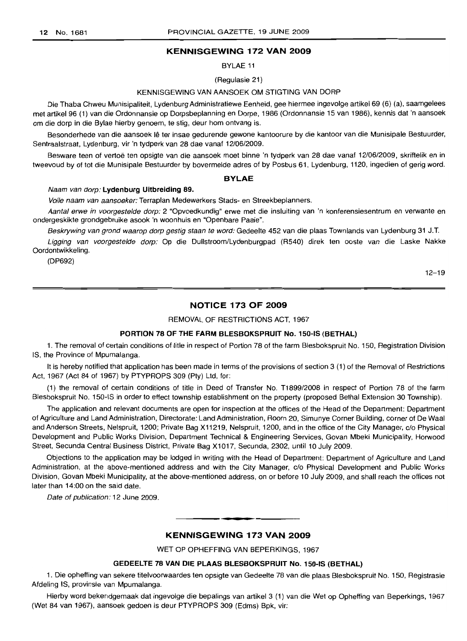## KENNISGEWING 172 VAN 2009

BYLAE 11

(Regulasie 21)

#### KENNI8GEWING VAN AAN80EK OM STIGTING VAN DORP

Die Thaba Chweu Munisipaliteit, Lydenburg Administratiewe Eenheid, gee hiermee ingevolge artikel 69 (6) (a), saamgelees met artikel 96 (1) van die Ordonnansie op Dorpsbeplanning en Dorpe, 1986 (Ordonnansie 15 van 1986), kennis dat 'n aansoek om die dorp in die Bylae hierby genoem, te stig, deur hom ontvang is.

Besonderhede van die aansoek lê ter insae gedurende gewone kantoorure by die kantoor van die Munisipale Bestuurder, Sentraalstraat, Lydenburg, vir 'n tydperk van 28 dae vanaf 12/06/2009.

Besware teen of vertoë ten opsigte van die aansoek moet binne 'n tydperk van 28 dae vanaf 12/06/2009, skriftelik en in tweevoud by of tot die Munisipale Bestuurder by bovermelde adres of by Posbus 61, Lydenburg, 1120, ingedien of gerig word.

#### BYLAE

#### Naam van dorp: Lydenburg Uitbreiding 89.

Volle naam van aansoeker: Terraplan Medewerkers Stads- en Streekbeplanners.

Aantal erwe in voorgestelde dorp: 2 "Opvoedkundig" erwe met die insluiting van 'n konferensiesentrum en verwante en ondergeskikte grondgebruike asook 'n woonhuis en "Openbare Paaie".

Beskrywing van grond waarop dorp gestig staan te word: Gedeelte 452 van die plaas Townlands van Lydenburg 31 J.T.

Ligging van voorgestelde dorp: Op die Duilstroom/Lydenburgpad (R540) direk ten ooste van die Laske Nakke Oordontwikkeling.

(DP692)

12-19

#### NOTICE 173 OF 2009

REMOVAL OF RESTRICTIONS ACT, 1967

## PORTION 78 OF THE FARM BLESBOKSPRUIT No. 150-IS (BETHAL)

1. The removal of certain conditions of title in respect of Portion 78 of the farm Blesbokspruit No. 150, Registration Division IS, the Province of Mpumalanga.

It is hereby notified that application has been made in terms of the provisions of section 3 (1) of the Removal of Restrictions Act, 1967 (Act 84 of 1967) by PTYPROPS 309 (Pty) Ltd, for:

(1) the removal of certain conditions of title in Deed of Transfer No. T1899/2008 in respect of Portion 78 of the farm Blesbokspruit No. 150-18 in order to effect township establishment on the property (proposed Bethal Extension 30 Township).

The application and relevant documents are open for inspection at the offices of the Head of the Department: Department of Agriculture and Land Administration, Directorate: Land Administration, Room 20, Simunye Corner Building, corner of De Waal and Anderson Streets, Nelspruit, 1200; Private Bag X11219, Nelspruit, 1200, and in the office of the City Manager, c/o Physical Development and Public Works Division, Department Technical & Engineering Services, Govan Mbeki Municipality, Horwood Street, Secunda Central Business District, Private Bag X1017, Secunda, 2302, until 10 July 2009.

Objections to the application may be lodged in writing with the Head of Department: Department of Agriculture and Land Administration, at the above-mentioned address and with the City Manager, c/o Physical Development and Public Works Division, Govan Mbeki Municipality, at the above-mentioned address, on or before 10 July 2009, and shall reach the offices not later than 14:00 on the said date.

Date of publication: 12 June 2009.

## KENNISGEWING 173 VAN 2009

**• •**

WET OP OPHEFFING VAN BEPERKINGS, 1967

## GEDEELTE 78 VAN DIE PLAAS BLESBOKSPRUIT No. 150-IS (BETHAL)

1. Die opheffing van sekere titelvoorwaardes ten opsigte van Gedeelte 78 van die plaas Blesbokspruit No. 150, Registrasie Afdeling IS, provinsie van Mpumalanga.

Hierby word bekendgemaak dat ingevolge die bepalings van artikel 3 (1) van die Wet op Opheffing van Beperkings, 1967 (Wet 84 van 1967), aansoek gedoen is deur PTYPROPS 309 (Edms) Bpk, vir: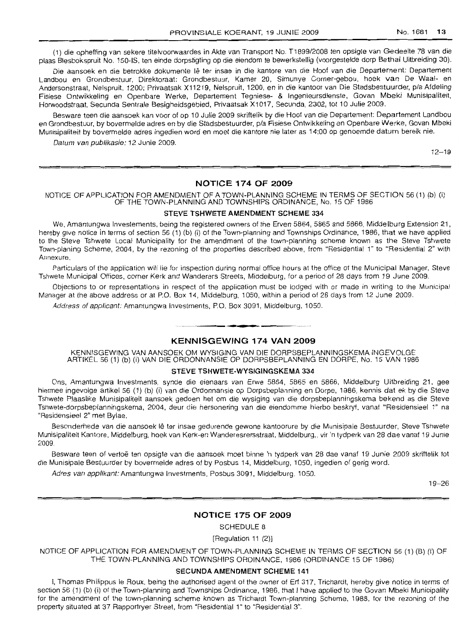(1) die opheffing van sekere titelvoorwaardes in Akte van Transport No. T1899/2008 ten opsigte van Gedeelte 78 van die plaas Blesbokspruit No. 150-18, ten einde dorpstigting op die eiendom te bewerkstellig (voorgestelde dorp Bethal Uitbreiding 30).

Die aansoek en die betrokke dokumente Iê ter insae in die kantore van die Hoof van die Departement: Departement Landbou en Grondbestuur, Direktoraat: Grondbestuur, Kamer 20, Simunye Corner-gebou, hoek van De Waal- en Andersonstraat, Nelspruit, 1200; Privaatsak X11219, Nelspruit, 1200, en in die kantoor van Die Stadsbestuurder, p/a Afdeling Fisiese Ontwikkeling en Openbare Werke, Departement Tegniese- & Ingenieursdienste, Govan Mbeki Munisipaliteit, Horwoodstraat, Secunda Sentrale Besigheidsgebied, Privaatsak X1017, Secunda, 2302, tot 10 Julie 2009.

Besware teen die aansoek kan voor of op 10 Julie 2009 skriftelik by die Hoof van die Departement: Departement Landbou en Grondbestuur, by bovermelde adres en by die Stadsbestuurder, p/a Fisiese Ontwikkeling en Openbare Werke, Govan Mbeki Munisipaliteit by bovermelde adres ingedien word en moet die kantore nie later as 14:00 op genoemde datum bereik nie.

Datum van publikasie: 12 Junie 2009.

 $12 - 19$ 

## **NOTICE 174 OF 2009**

#### NOTICE OF APPLICATION FOR AMEr\IDMENT OF A TOWN-PLANNING SCHEME IN TERMS OF SECTION 56 (1) (b) (i) OF THE TOWN-PLANNING AND TOWNSHIPS ORDINANCE, No. 15 OF 1986

## **STEVE TSHWETE AMENDMENT SCHEME 334**

We, Amantungwa Investements, being the registered owners of the Erven 5864, 5865 and 5866, Midde/burg Extension 21, hereby give notice in terms of section 56 (1) (b) (i) of the Town-planning and Townships Ordinance, 1986, that we have applied to the Steve Tshwete Local Municipality for the amendment of the town-planning scheme known as the Steve Tshwete Town-planing Scheme, 2004, by the rezoning of the properties described above, from "Residential 1" to "Residential 2" with Annexure.

Particulars of the application will lie for inspection during normal office hours at the office of the Municipal Manager, Steve Tshwele Municipal Offices, corner Kerk and Wanderers Streets, Middelburg, for a period of 28 days from .19 June 2009.

Objections to or representations in respect of the application must be lodged with or made in writing to the Municipal Manager at the above address or at P.O. Box 14, Middelburg, 1050, within a period of 28 days from 12 June 2009.

Address of applicant: Amantungwa Investments, P.O. Box 3091, Middelburg, 1050.

## **KENNISGEWING 174 VAN 2009**

.**- .**

KENNISGEWING VAN AANSOEK OM WYSIGING VAN DIE DORPSBEPLANNINGSKEMA INGEVOLGE ARTIKEL 56 (1) (b) (i) VAN DIE ORDONNANSIE OP DORPSBEPLANNING EN DORPE, No. 15 VAN 1986

#### **STEVE TSHWETE-WYSIGINGSKEMA 334**

Ons, Amantungwa Investments, synde die eienaars van Erwe 5864, 5865 en 5866, Middelburg Uitbreiding 21, gee hiermee ingevolge artikel 56 (1) (b) (i) van die Ordonnansie op Dorpsbeplanning en Dorpe, 1986, kennis dat ek by die Steve Tshwete Plaaslike Munisipaliteit aansoek gedoen het om die wysiging van die dorpsbeplanningskema bekend as die Steve Tsnwete-dorpsbeplanninqskerna, 2004, deur die hersonering van die eiendomme hierbo beskryf, vanaf "Residensieel 1" na "Residensieel 2" met Bylae.

Besonderhede van die aansoek Ie ter insae gedurende gewone kantoorure by die Munisipale Bestuurder, Steve Tshwete Munisipaliteit Kantore, Middelburg, hoek van Kerk-en Wanderesrersstraat. Middelburq., vir 'n tydperk van 28 dae vanaf 19 Junie 2009.

Besware teen of vertoë ten opsigte van die aansoek moet binne 'n tydperk van 28 dae vanaf 19 Junie 2009 skriftelik tot die Munisipale Bestuurder by bovermelde adres of by Posbus 14, Middelburg, 1050, ingedien of gerig word.

Adres van applikant: Amantungwa Investments, Posbus 3091, Middelburg, 1050.

19-26

#### **NOTICE 175 OF 2009**

SCHEDULE 8

[Regulation 11 (2)]

NOTICE OF APPLICATION FOR AMENDMENT OF TOWN-PLANNING SCHEME IN TERMS OF SECTION 56 (1) (B) (I) OF THE TOWN-PLANNING AND TOWNSHIPS ORDINANCE, 1986 (ORDINANCE 15 OF 1986)

#### **SECUNDA AMENDMENT SCHEME 141**

I, Thomas Philippus Ie Raux, being the authorised agent of the owner of Erf 317, Trichardt, hereby give notice in terms of section 56 (1) (b) (i) of the Town-planning and Townships Ordinance, 1986, that I have applied to the Govan Mbeki Municipality for the amendment of the town-planning scheme known as Trichardt Town-planning Scheme, 19S8, for the rezoning of the property situated at 37 Rapportryer Street, from "Residential 1" to "Residential 3".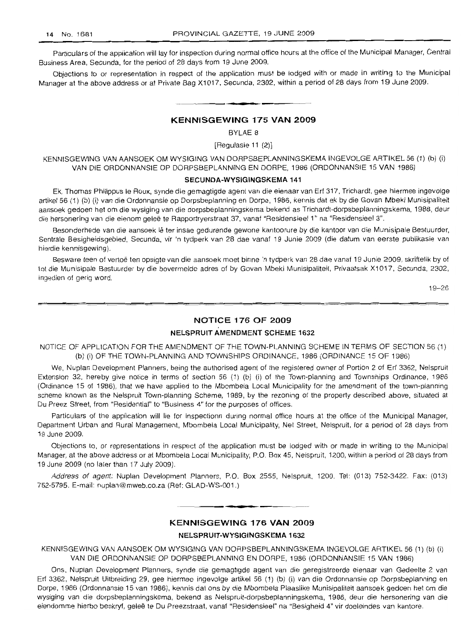Particulars of the application will lay for inspection during normal office hours at the office of the Municipal Manager, Central Business Area, Secunda, for the period of 28 days from 19 June 2009.

Objections to or representation in respect of the application must be lodged with or made in writing to the Municipal Manager at the above address or at Private Bag X1017, Secunda, 2302, within a period of 28 days from 19 June 2009 .

## **KENNISGEWING 175 VAN 2009**

**•**

BYLAE 8

[Regulasie 11 (2)]

KENNISGEWING VAN AANSOEK OM WYSIGING VAN DORPSBEPLANNINGSKEMA INGEVOLGE ARTIKEL 56 (1) (b) (i) VAN DIE ORDONNANSIE OP DORPSBEPLANNING EN DORPE, 1986 (ORDONNANSIE 15 VAN 1986)

#### **SECUNDA-WYSIGINGSKEMA 141**

Ek, Thomas Philippus Ie Raux, synde die gemagtigde agent van die eienaar van Erf 317, Trichardt, gee hiermee ingevolge artikel 56 (1) (b) (i) van die Ordonnansie op Dorpsbeplanning en Dorpe, 1986, kennis dat ek by die Govan Mbeki Munisipaliteit aansoek gedoen het am die wysiging van die dorpsbeplanningskema bekend as Trichardt-dorpsbeplanningskema, 1988, deur die hersonering van die eienom gelee te Rapportryerstraat 37, vanaf "Residensieel 1" na "Residensieel 3".

Besonderhede van die aansoek lê ter insae gedurende gewone kantoorure by die kantoor van die Munisipale Bestuurder, Sentrale Besigheidsgebied, Secunda, vir 'n tydperk van 28 dae vanaf 19 Junie 2009 (die datum van eerste publikasie van hierdie kennisgewing).

Besware teen of vertoë ten opsigte van die aansoek moet binne 'n tydperk van 28 dae vanaf 19 Junie 2009, skriftelik by of tot die Munisipale Bestuurder by die bovermelde adres of by Govan Mbeki Munisipaliteit, Privaatsak X1017, Secunda, 2302, ingedien of gerig word.

19-26

## **NOTICE 176 OF 2009**

## **NELSPRUIT AMENDMENT SCHEME 1632**

NOTICE OF APPLICATION FOR THE AMENDMENT OF THE TOWN-PLANNING SCHEME IN TERMS OF SECTION 56 (1) (b) (i) OF THE TOWN-PLANNING AND TOWNSHIPS ORDINANCE, 1986 (ORDINANCE 15 OF 1986)

We, Nuplan Development Planners, being the authorised agent of the registered owner of Portion 2 of Erf 3362, Nelspruit Extension 32, hereby give notice in terms of section 56 (1) (b) (i) of the Town-planning and Townships Ordinance, 1986 (Ordinance 15 of 1986), that we have applied to the Mbombela Local Municipality for the amendment of the town-planning scheme known as the Nelspruit Town-planning Scheme, 1989, by the rezoning of the property described above, situated at Du Preez Street, from "Residential" to "Business 4" for the purposes of offices.

Particulars of the application will lie for inspectionn during normal office hours at the office of the Municipal Manager, Department Urban and Rural Management, Mbombela Local Municipality, Nel Street, Nelspruit, for a period of 28 days from 19 June 2009.

Objections to, or representations in respect of the application must be lodged with or made in writing to the Municipal Manager, at the above address or at Mbombela Local Municipality, P.O. Box 45, Nelspruit, 1200, within a period of 28 days from 19 June 2009 (no later than 17 July 2009).

Address of agent: Nuplan Development Planners, P.O. Box 2555, Nelspruit, 1200. Tel: (013) 752-3422. Fax: (013) 752-5795. E-mail: nuplan@mweb.co.za (Ref: GLAD-WS-001.)

## **KENNISGEWING 176 VAN 2009**

**- .**

## **NELSPRUIT-WYSIGINGSKEMA 1632**

KENNISGEWING VAN AANSOEK OM WYSIGING VAN DORPSBEPLANNINGSKEMA INGEVOLGE ARTIKEL 56 (1) (b) (i) VAN DIE ORDONNANSIE OP DORPSBEPLANNING EN DORPE, 1986 (ORDONNANSIE 15 VAN 1986)

Ons, Nuplan Development Planners, synde die gemagtigde agent van die geregistreerde eienaar van Gedeelte 2 van Erf 3362, Nelspruit Uitbreiding 29, gee hiermee ingevolge artikel 56 (1) (b) (i) van die Ordonnansie op Dorpsbeplanning en Dorpe, 1986 (Ordonnansie 15 van 1986), kennis dat ons by die Mbombela Plaaslike Munisipaliteit aansoek gedoen het om die wysiging van die dorpsbeplanningskema, bekend as Nelspruit-dorpsbeplanningskema, 1986, deur die hersonering van die eiendomme hierbo beskryf, geleë te Du Preezstraat, vanaf "Residensieel" na "Besigheid 4" vir doeleindes van kantore.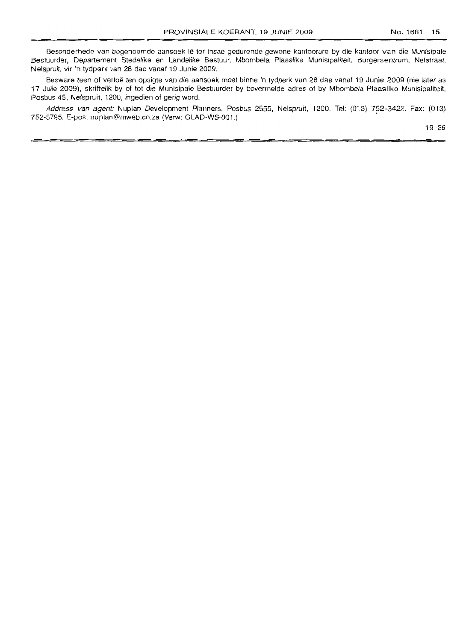Besonderhede van bogenoemde aansoek Iê ter insae gedurende gewone kantoorure by die kantoor van die Munisipale Bestuurder, Departement Stedelike en Landelike Bestuur, Mbombela Plaaslike Munisipaliteit, Burgersentrum, Nelstraat, Nelspruit. vir 'n tydperk van 28 dae vanaf 19 Junie 2009.

Besware teen of vertoë ten opsigte van die aansoek moet binne 'n tydperk van 28 dae vanaf 19 Junie 2009 (nie later as 17 Julie 2009), skriftelik by of tot die Munisipale Bestuurder by bovermelde adres of by Mbombela Plaaslike Munisipaliteit, Posbus 45, Nelspruit, 1200. ingedien of gerig word.

Address van agent: Nuplan Development Planners, Posbus 2555, Nelspruit, 1200. Tel: (013) 752-3422. Fax: (013) 752-5795. E-pos: nuplan@mweb.co.za (Verw: GLAD-WS-001.)

19-26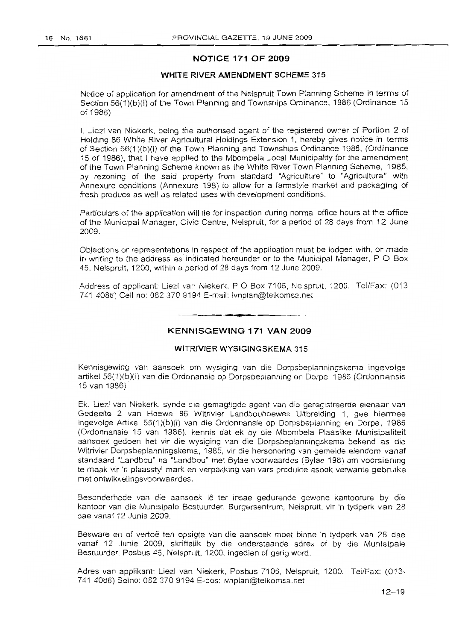## **NOTICE 171 OF 2009**

### **WHITE RIVER AMENDMENT SCHEME** 315

Notice of application for amendment of the Nelspruit Town Planning Scheme in terms of Section 56(1)(b)(i) of the Town Planning and Townships Ordinance, 1986 (Ordinance 15 of 1986)

I, Liezl van Niekerk, being the authorised agent of the registered owner of Portion 2 of Holding 86 White River Agricultural Holdings Extension 1, hereby gives notice in terms of Section 56(1 )(b)(i) of the Town Planning and Townships Ordinance 1986, (Ordinance 15 of 1986), that I have applied to the Mbombela Local Municipality for the amendment of the Town Planning Scheme known as the White River Town Planning Scheme, 1985, by rezoning of the said property from standard "Agriculture" to "Agriculture" with Annexure conditions (Annexure 198) to allow for a farmstyle market and packaging of fresh produce as well as related uses with development conditions.

Particulars of the application will lie for inspection during normal office hours at the office of the Municipal Manager, Civic Centre, Nelspruit, for a period of 28 days from 12 June 2009.

Objections or representations in respect of the application must be lodged with, or made in writing to the address as indicated hereunder or to the Municipal Manager,  $P \circ B$ ox 45, Nelspruit, 1200, within a period of 28 days from 12 June 2009.

Address of applicant: Liezl van Niekerk, P O Box 7106, Nelspruit, 1200. Tel/Fax: (013 741 4086) Cell no: 082 370 9194 E-mail: Ivnplan@telkomsa.net

. **- .**

## **KENNISGEWING 171 VAN 2009**

#### WITRIVIER WYSIGINGSKEMA 315

Kennisgewing van aansoek am wysiging van die Dorpsbeplanningskema ingevolge artikel 56(1 )(b)(i) van die Ordonansie op Dorpsbeplanning en Dorpe, 1986 (Ordonnansie 15 van 1986)

Ek. Liezl van Niekerk, synde die gemagtigde agent van die geregistreerde eienaar van Gedeelte 2 van Hoewe 86 Witrivier Landbouhoewes Uitbreiding 1, gee hiermee ingevolge Artikel 56(1)(b)(i) van die Ordonnansie op Dorpsbeplanning en Dorpe, 1986 (Ordonnansie 15 van 1986), kennis dat ek by die Mbombela Plaaslike Munisipaliteit aansoek gedoen het vir die wysiging van die Dorpsbeplanningskema bekend as die Witrivier Dorpsbeplanningskema, 1985, vir die hersonering van gemelde eiendom vanaf standaard "Landbou" na "l.andbou" met Byiae voorwaardes (Bylae 198) om voorsiening te maak vir 'n plaasstyl mark en verpakking van vars produkte asook verwante gebruike met ontwikkelingsvoorwaardes.

Besonderhede van die aansoek Ie ter insae gedurende gewone kantoorure by die kantoor van die Munisipale Bestuurder, Burgersentrum, Nelspruit, vir 'n tydperk van 28 dae vanaf 12 Junie 2009.

Besware en of vertoë ten opsigte van die aansoek moet binne 'n tydperk van 28 dae vanaf 12 Junie 2009, skriftelik by die onderstaande adres of by die Munisipale Bestuurder, Posbus 45, Nelspruit, 1200, ingedien of gerig word.

Adres van applikant: Liezl van Niekerk, Posbus 7106, Nelspruit, 1200. Tel/Fax: (013- 741 4086) Selno: 082 370 9194 E-pos: Ivnplan@telkomsa.net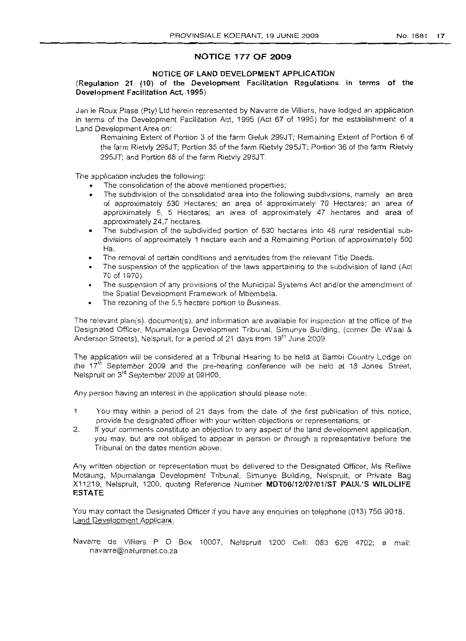## **NOTICE 177 OF 2009**

## **NOTICE OF LAND DEVELOPMENT APPLICATION**

## **(Regulation 21 (10) of the Development Facilitation Regulations in terms of the Development Facilitation Act, 1995)**

Jan Ie Raux Plase (Pty) Ltd herein represented by Navarre de Villiers, have lodged an application in terms of the Development Facilitation Act, 1995 (Act 67 of 1995) for the establishment of a Land Development Area on:

Remaining Extent of Portion 3 of the farm Geluk 299JT; Remaining Extent of Portion 6 of the farm Rietvly 295JT; Portion 35 of the farm Rietvly 295JT; Portion 36 of the farm Rietvly 295JT; and Portion 68 of the farm Rietvly 295JT.

The application includes the following:

- The consolidation of the above mentioned properties;
- The subdivision of the consolidated area into the following subdivisions, namely an area of approximately 530 Hectares; an area of approximately 70 Hectares; an area of approximately 5, 5 Hectares; an area of approximately 47 hectares and area of approximately 24,7 hectares.
- The subdivision of the subdivided portion of 530 hectares into 48 rural residential subdivisions of approximately 1 hectare each and a Remaining Portion of approximately 500 Ha.
- The removal of certain conditions and servitudes from the relevant Title Deeds.
- The suspension of the application of the laws appertaining to the subdivision of land (Act 70 of 1970).
- The suspension of any provisions of the Municipal Systems Act and/or the amendment of the Spatial Development Framework of Mbombela.
- The rezoning of the 5,5 hectare portion to Business.

The relevant plan(s). document(s), and information are available for inspection at the office of the Designated Officer, Mpumalanga Development Tribunal, Simunye Building, (corner De Waal & Anderson Streets), Nelspruit, for a period of 21 days from 19<sup>th</sup> June 2009.

The application will be considered at a Tribunal Hearing to be held at Bambi Country Lodge on the 17<sup>th</sup> September 2009 and the pre-hearing conference will be held at 18 Jones Street, Nelspruit on 3'd September 2009 at 09HOO.

Any person having an interest in the application should please note:

- You may within a period of 21 days from the date of the first publication of this notice, 1 provide the designated officer with your written objections or representations, or
- 2. If your comments constitute an objection to any aspect of the land development application, you may, but are not obliged to appear in person or through a representative before the Tribunal on the dates mention above.

Any written objection or representation must be delivered to the Designated Officer, Ms Refilwe Motaung, Mpumalanga Development Tribunal, Simunye Building, Nelspruit, or Private Bag X11219, Nelspruit, 1200, quoting Reference Number **MDT06/12/07/01/ST PAUL'S WILDLIFE ESTATE**

You may contact the Designated Officer if you have any enquiries on telephone (013) 756 9018. Land Development Applicant:

Navarre de Villiers P O Box 10007, Nelspruit 1200 Cell: 083 626 4702; e mail: navarre@naturenet.co.za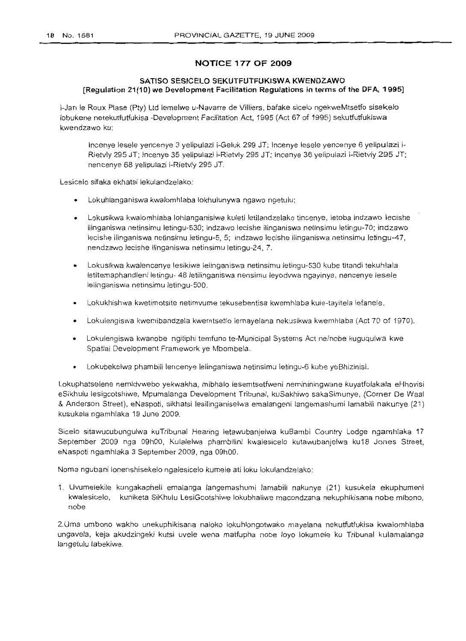## **NOTICE 177 OF 2009**

## **SATISO SESICELO SEKUTFUTFUKISWA KWENDZAWO [Regulation 21(10) we Development Facilitation Regulations in terms of the DFA, 1995]**

i-Jan Ie Roux Plase (Pty) Ltd lemelwe u-Navarre de Villiers, bafake sicelo ngekweMtsetfo sisekelo lobukene netekutfutfukisa -Development Facilitation Act, 1995 (Act 67 of 1995) sekutfutfukiswa kwendzawo ku:

Incenye lesele yencenye 3 yelipulazi i-Geluk 299 JT; Incenye lesele yencenye 6 yelipulazi i-Rietvly 295 JT; Incenye 35 yelipulazi i-Rietvly 295 JT; Incenye 36 yelipulazi i-Rietvly 295 JT; nencenye 68 yelipulazi i-Rietvly 295 JT.

Lesicelo sifaka ekhatsi lekulandzelako:

- Lokuhlanganiswa kwalomhlaba lokhulunywa ngawo ngetulu;
- Lokusikwa kwalomhlaba lohlanganisiwe kuleti letilandzelako tincenye, letoba indzawo lecishe ilinganiswa netinsimu letingu-530; indzawo lecishe ilinganiswa netinsimu letingu-70; indzawo lecishe ilinganiswa netinsimu letingu-5, 5; indzawo lecishe ilinganiswa netinsimu letingu-47, nendzawo leeishe ilinganiswa netinsimu letingu-24, 7.
- Lokusikwa kwalencenye lesikiwe lelinganiswa netinsimu letingu-530 kube titandi tekuhlala letitemaphandleni letingu- 48 letilinganiswa nensimu leyodvwa ngayinye, nencenye lesele lelinganiswa netinsimu letingu-500.
- Lokukhishwa kwetimotsite netimvume tekusebentisa kwemhlaba kule-tayitela lefanele.
- Lokulengiswa kwemibandzela kwemtsetfo lemayelana nekusikwa kwemhlaba (Act 70 of 1970).
- Lokulengiswa kwanobe ngitiphi temfuno te-Municipal Systems Act ne/nobe kuguqulwa kwe Spatial Development Framework ye Mbombela.
- Lokubekelwa phambili lencenye lelinganiswa netinsimu letingu-6 kube yeBhizinisi.

Lokuphatselene nemidvwebo yekwakha, mibhalo lesemtsetfweni nemininingwane kuyatfolakala eHhovisi eSikhulu lesigcotshiwe, Mpumalanga Development Tribunal, kuSakhiwo sakaSimunye, (Corner De Waal & Anderson Street), eNaspoti, sikhatsi lesilinganiselwa emalangeni langemashumi lamabili nakunye (21) kusukela ngamhlaka 19 June 2009.

Sieelo sitawucubungulwa kuTribunal Hearing letawubanjelwa kuBambi Country Lodge ngamhlaka 17 September 2009 nga 09hOO, Kulalelwa phambilini kwalesieelo kutawubanjelwa ku18 Jones Street, eNaspoti ngamhlaka 3 September 2009, nga 09hOO.

Noma ngubani lonenshisekelo ngalesicelo kumele ati loku lokulandzelako:

1. Uvumelekile kungakapheli emalanga langemashumi lamabili nakunye (21) kusukela ekuphumeni kwalesicelo, kuniketa SiKhulu LesiGcotshiwe lokubhaliwe macondzana nekuphikisana nobe mibono, nobe

2.Uma umbono wakho unekuphikisana naloko lokuhlongotwako mayelana nekutfutfukisa kwalomhlaba ungavela, keja akudzingeki kutsi uvele wena matfupha nobe love lokumele ku Tribunal kulamalanga langetulu labekiwe.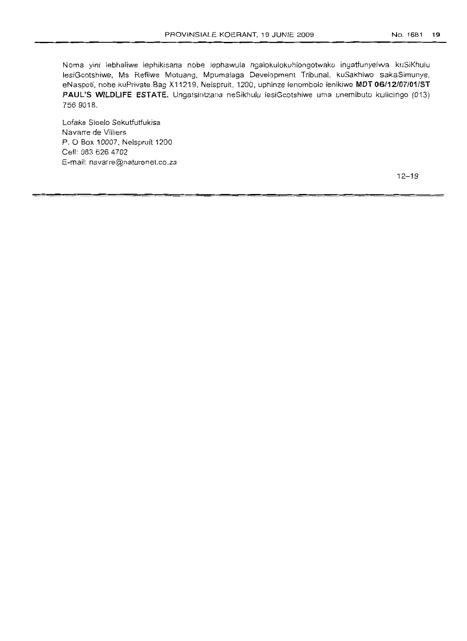Noma yini lebhaliwe lephikisana nobe lephawula ngalokulokuhlongotwako ingatfunyelwa kuSiKhulu lesiGcotshiwe, Ms Refilwe Motuang, Mpumalaga Development Tribunal, kuSakhiwo sakaSimunye, eNaspoti, nobe kuPrivate Bag X11219, Nelspruit, 1200, uphinze lenombolo lenikiwe **MDT 06/12/07101/ST PAUL'S WILDLIFE ESTATE.** Ungatsintzana neSikhulu lesiGcotshiwe uma unemibuto kulicingo (013) 7569018.

Lofake Sicelo Sekutfutfukisa Navarre de Villiers P. 0 Box 10007, Nelspruit 1200 Cell: 0836264702 E-mail: navarre@naturenet.co.za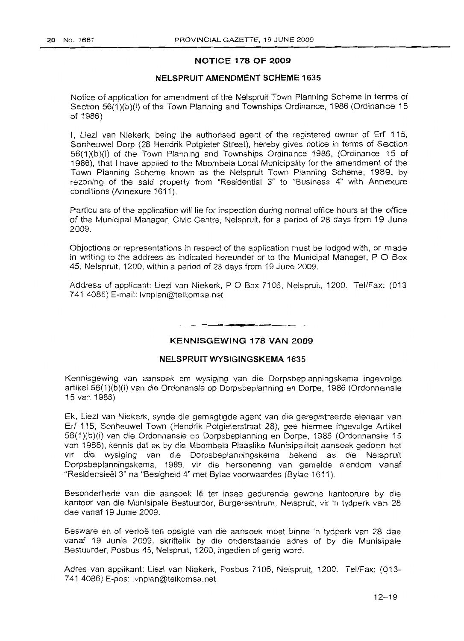## **NOTICE 178 OF 2009**

## **NELSPRUIT AMENDMENT SCHEME 1635**

Notice of application for amendment of the Nelspruit Town Planning Scheme in terms of Section 56(1)(b)(i) of the Town Planning and Townships Ordinance, 1986 (Ordinance 15 of 1986)

I, Liezl van Niekerk, being the authorised agent of the registered owner of Erf 115, Sonheuwel Dorp (28 Hendrik Potgieter Street), hereby gives notice in terms of Section 56(1 )(b)(i) of the Town Planning and Townships Ordinance 1986, (Ordinance 15 of 1986), that I have applied to the Mbombela Local Municipality for the amendment of the Town Planning Scheme known as the Nelspruit Town Planning Scheme, 1989, by rezoning of the said property from "Residential 3" to "Business 4" with Annexure conditions (Annexure 1611).

Particulars of the application will lie for inspection during normal office hours at the office of the Municipal Manager, Civic Centre, Nelspruit, for a period of 28 days from 19 June 2009.

Objections or representations in respect of the application must be lodged with, or made in writing to the address as indicated hereunder or to the Municipal Manager,  $P$  O Box 45, Nelspruit, 1200, within a period of 28 days from 19 June 2009.

Address of applicant: Liezl van Niekerk, POBox 7106, Nelspruit, 1200. Tel/Fax: (013 741 4086) E-mail: Ivnplan@telkomsa.net

## **KENNISGEWING 178 VAN 2009**

**- .**

## **NELSPRUIT WYSIGINGSKEMA** 1635

Kennisgewing van aansoek om wysiging van die Dorpsbeplanningskema ingevolge artikel 56(1 )(b)(i) van die Ordonansie op Dorpsbeplanning en Dorpe, 1986 (Ordonnansie 15 van 1986)

Ek, Liezl van Niekerk, synde die gemagtigde agent van die geregistreerde eienaar van Erf 115, Sonheuwel Town (Hendrik Potgieterstraat 28), gee hiermee ingevolge Artikel 56(1)(b)(i) van die Ordonnansie op Dorpsbeplanning en Dorpe, 1986 (Ordonnansie 15 van 1986), kennis dat ek by die Mbombela Plaaslike Munisipaliteit aansoek gedoen het vir die wysiging van die Dorpsbeplanningskema bekend as die Nelspruit Dorpsbeplanningskema, 1989, vir die hersonering van gemelde eiendom vanaf "Residensieel 3" na "Besigheid 4" met Bylae voorwaardes (Bylae 1611).

Besonderhede van die aansoek Ie ter insae gedurende gewone kantoorure by die kantoor van die Munisipale Bestuurder, Burgersentrum, Nelspruit, vir 'n tydperk van 28 dae vanaf 19 Junie 2009.

Besware en of vertoë ten opsigte van die aansoek moet binne 'n tydperk van 28 dae vanaf 19 Junie 2009, skriftelik by die onderstaande adres of by die Munisipale Bestuurder, Posbus 45, Nelspruit, 1200, ingedien of gerig word.

Adres van applikant: Liezl van Niekerk, Posbus 7106, Nelspruit, 1200. Tel/Fax: (013- 741 4086) E-pos: lvnplan@telkomsa.net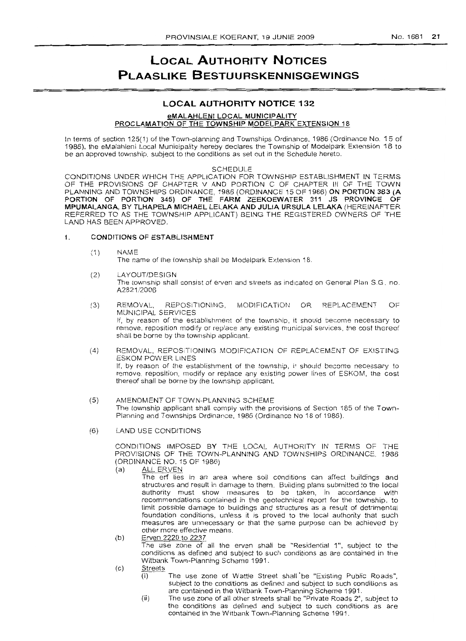## **LOCAL AUTHORITY NOTICES PLAASLIKE BESTUURSKENNISGEWINGS**

## **LOCAL AUTHORITY NOTICE 132**

#### eMALAHLEN! LOCAL MUNICIPALITY

## PROCLAMATION OF THE TOWNSHIP MODELPARK EXTENSION 18

In terms of section 125(1) of the Town-planning and Townships Ordinance, 1986 (Ordinance No. 15 of 1986), the eMalahleni Local Municipality hereby declares the Township of Modelpark Extension 18 to be an approved township, subject to the conditions as set out in the Schedule hereto.

#### SCHEDULE

CONDITIONS UNDER WHICH THE APPLICATION FOR TOWNSHIP ESTABLISHMENT IN TERMS OF THE PROVISIONS OF CHAPTER V AND PORTION C OF CHAPTER III OF THE TOWN PLANNING AND TOWNSHIPS ORDINANCE, 1986 (ORDINANCE 15 OF 1986) ON PORTION 383 (A PORTION OF PORTION 345) OF THE FARM ZEEKOEWATER 311 JS PROVINCE OF MPUMALANGA, BY TLHAPELA MICHAEL LELAKA AND JULIA URSULA LELAKA (HEREINAFTER REFERRED TO AS THE TOWNSHIP APPLICANT) BEING THE REGISTERED OWNERS OF THE LAND HAS BEEN APPROVED.

#### 1. CONDITIONS OF ESTABLISHMENT

(1) NAME

The name of the township shall be Modelpark Extension 18.

- (2) LAYOUT/DESIGN The township shall consist of erven and streets as indicated on General Plan SG. no. A2821/2006
- (3) REMOVAL, REPOSITIONING, MODIFICATION OR REPLACEMENT OF MUNICIPAL SERVICES If, by reason of the establishment of the township, it should become necessary to remove, reposition modify or replace any existing municipal services, the cost thereof shall be borne by the township applicant.
- (4) REMOVAL, REPOSITIONING MODIFICATION OF REPLACEMENT OF EXISTING ESKOM POWER LINES If, by reason of the establishment of the township, it should become necessary to remove, reposition, modify or replace any existing power lines of ESKOM, the cost thereof shall be borne by the township applicant.
- (5) AMENDMENT OF TOWN-PLANNING SCHEME The township applicant shall comply with the provisions of Section 185 of the Town-Planning and Townships Ordinance, 1986 (Ordinance No 18 of 1986).
- (6) LAND USE CONDITIONS

CONDITIONS IMPOSED BY THE LOCAL AUTHORITY IN TERMS OF THE PROVISIONS OF THE TOWN-PLANNING AND TOWNSHIPS ORDINANCE, 1986 (ORDINANCE NO. 15 OF 1986)

(a) ALL ERVEN

The erf lies in an area where soil conditions can affect buildings and structures and result in damage to them. Building plans submitted to the local authority must show measures to be taken, in accordance with recommendations contained in the geotechnical report for the township, to limit possible damage to buildings and structures as a result of detrimental foundation conditions, unless it is proved to the local authority that such measures are unnecessary or that the same purpose can be achieved by other more effoctive means.

- (b) Erven 2220 to 2237 The use zone of all the erven shall be "Residential 1", subject to the conditions as defined and subject to such conditions as are contained in the Witbank Town-Planning Scheme 1991.
- $(c)$  Streets
	- The use zone of Wattle Street shall be "Existing Public Roads", subject to the conditions as defined and subject to such conditions as are contained in the Witbank Town-Planning Scheme 1991.
	- (ii) The use zone of all other streets shall be "Private Roads 2", SUbject to the conditions as defined and subject to such conditions as are contained in the Witbank Town-Planning Scheme 1991.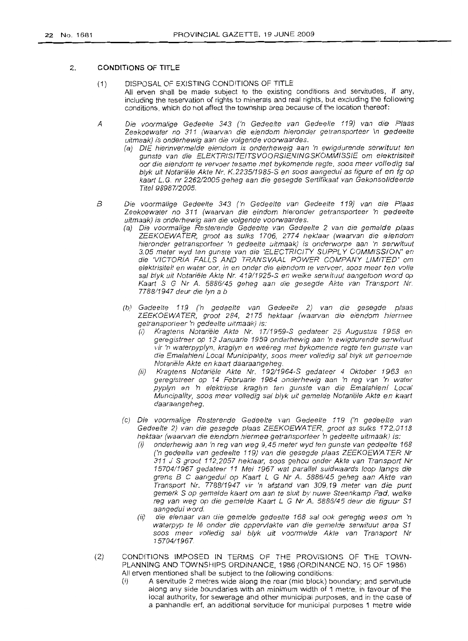#### 2. **CONDITIONS OF TITLE**

- (1) DISPOSAL OF EXISTING CONDITIONS OF TITLE All erven shall be made subject to the existing conditions and servitudes, if any, including the reservation of rights to minerals and real rights, but excluding the following conditions, which do not affect the township area because of the location thereof:
- A Die voormalige Gedeelte 343 ('n Gedeelte van Gedeelte 119) van die Plaas Zeekoewater no 311 (waarvan die eiendom hieronder getransporteer \n gedeelte uitmaak) is onderhewig aan die volgende voorwaardes.
	- (a) DIE hierinvermelde eiendom is onderheweig aan 'n ewigdurende serwituut ten gunste van die ELEKTRISITEITSVOORSIENINGSKOMM/SSIE om elektrisiteit oor die eiendom te vervoer tesame met bykomende regte, soos meer volle dig sal blyk uit Notariële Akte Nr. K.2235/1985-S en soos aangedui as figure ef en fg op kaart L. G. nr 226212005 geheg aan die gesegde Sertifikaat van Gekonsolideerde Titel 98987/2005.
- B Die voormalige Gedeelte 343 ('n Gedeelte van Gedeelte 119) van die Plaas Zeekoewater no 311 (waarvan die eindom hieronder getransporteer 'n gedeelte uitmaak) is onderhewig aan die volgende voorwaardes.
	- (a) Die voormalige Resterende Gedeelte van Gedeelte 2 van die gemelde plaas ZEEKOEWATER, groot as sulks 1706, 2774 hektaar (waarvan die eiendom hieronder getransporteer 'n gedeelte uitmaak) is onderworpe aan 'n serwituut 3,05 meter wyd ten gunste van die 'ELECTRICITY SUPPL Y COMMISSION' en die 'VICTORIA FALLS AND TRANSVAAL POWER COMPANY LIMITED' om elektrisiteit en water oar, in en onder die eiendom te vervoer, soos meer ten volie sal blyk uit Notariële Akte Nr. 419/1925-S en welke serwituut aangetoon word op Kaart S G Nr *A.* 5886/45 geheg aan die gesegde Akte van Transport Nr. 7788/1947 deur die Iyn a b
	- (b) Gedeelte 119 ('n gedeelte van Gedeelte 2) van die gesegde plaas ZEEKOEWA TER, groat 284, 2175 hektaar (waarvan die eiendom hiermee getransporteer 'n gedeelte uitmaak) is:
		- (i) Kragtens Notariële Akte Nr. 17/1959-S gedateer 25 Augustus 1958 en geregistreer op 13 Januarie 1959 onderhewig aan 'n ewigdurende serwituut vir 'n waterpyplyn, kraglyn en weëreg met bykomende regte ten gunste van die Emalahleni Local Municipality, soos meer volledig sal blyk uit genoemde Notariële Akte en kaart daaraangeheg.
		- (ii) Kragtens Noteriele Akte Nr. 192/1964-5 gedateer 4 Oktober 1963 en geregistreer op 14 Februarie 1964 onderhewig aan 'n reg van 'n water pyplyn en 'n elektriese kraglyn ten gunste van die Emalahleni Local Muncipality, soos meer volledig sal blyk uit gemelde Notariële Akte en kaart daaraangeheg. .
	- (c) Die voormalige Resterende Gedeelte veri Gedeelte 119 ('n gedeelte van Gedeelte 2) van die gesegde plaas ZEEKOEWATER, groot as sulks 172,0118 hektaar (waarvan die eiendom hiermee getransporteer 'n gedeelte uitmaak) is:
		- (i) onderhewig aan 'n reg van weg 9,45 meter wyd ten gunste van gedeelte 168 ('n gedeelte van gedeelte 119) van die gesegde plaas ZEEKOEWA TER Nr 311 J S groat 112,2057 hektaar, soos gehou onder Akte van Transport Nr 15704/1967 gedateer 11 Mei 1967 wat parallel suidwaards loop fangs die grens B C aangedui op Kaart L G Nr *A.* 5886/45 geheg aan Akte van Transport Nr. 7788/1947 vir 'n afstand van 309,19 meter van die punt gemerk S op gemelde kaart om aan te sluit by nuwe Steenkamp Pad, welke reg van weg op die gemelde Kaart L G Nr *A.* 5886/45 deur die figuur S1 aangedui word.
		- die eienaar van die gemelde gedeelte 168 sal ook geregtig wees om 'n waterpyp te Iê onder die oppervlakte van die gemelde serwituut area S1 soos meer volledig sal blyk uit voormelde Akte van Transport Nr 15704/1967.
- (2) CONDITIONS IMPOSED IN TERMS OF THE PROVISIONS OF THE TOWN-PLANNING AND TOWNSHIPS ORDINANCE, 1986 (ORDINANCE NO. 15 OF 1986) All erven mentioned shall be subject to the following conditions:
	- (i) A servitude 2 metres wide along the rear (mid block) boundary; and servitude along any side boundaries with an minimum width of 1 metre, in favour of the local authority, for sewerage and other municipal purposes, and in the case of a panhandle erf, an additional servitude for municipal purposes 1 metre wide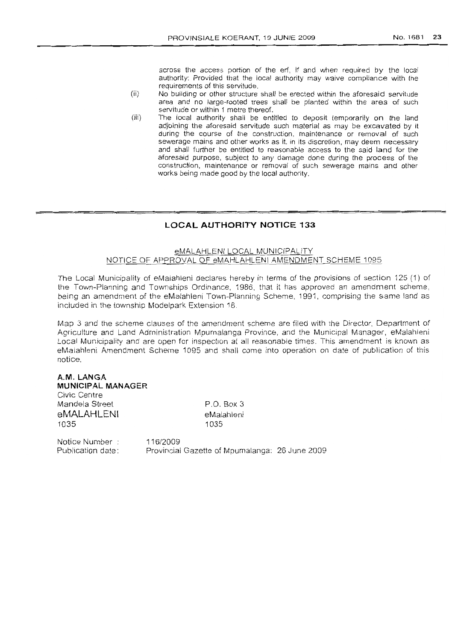across the access portion of the erf, if and when required by the local authority: Provided that the local authority may waive compliance with the requirements of this servitude.

- (ii) No building or other structure shall be erected within the aforesaid servitude area and no large-rooted trees shall be planted within the area of such servitude or within 1 metre thereof.
- (iii) The local authority shall be entitled to deposit temporarily on the land adjoining the aforesaid servitude such material as may be excavated by it during the course of the construction, maintenance or removal of such sewerage mains and other works as it, in its discretion, may deem necessary and shall further be entitled to reasonable access to the said land for the aforesaid purpose, subject to any damage done during the process of the construction, maintenance or removal of such sewerage mains and other works being made good by the local authority.

## **LOCAL AUTHORITY NOTICE 133**

## eMALAHLENI LOCAL MUNICIPALITY NOTICE OF APPROVAL OF eMAHLAHLENI AMENDMENT SCHEME 1095

The Local Municipality of eMalahleni declares hereby in terms of the provisions of section 125 (1) of the Town-Planning and Townships Ordinance, 1986, that it has approved an amendment scheme, being an amendment of the eMalahleni Town-Planning Scheme, 1991, comprising the same land as included in the township Modelpark Extension 18.

Map 3 and the scheme clauses of the amendment scheme are filed with the Director, Department of Agriculture and Land Administration Mpumalanga Province, and the Municipal Manager, eMalahleni Local Municipality and are open for inspection at all reasonable times. This amendment is known as eMalahleni Amendment Scheme 1095 and shall come into operation on date of publication of this notice.

## **A.M. LANGA**

**MUNICIPAL MANAGER**

Civic Centre Mandela Street **eMALAHLENI** 1035

P.O. Box 3 eMalahleni 1035

Notice Number Publication date: 116/2009 Provincial Gazette of Mpumalanga: 26 June 2009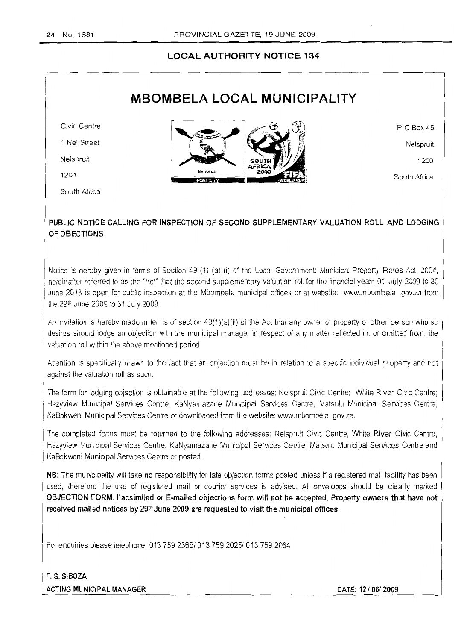## LOCAL AUTHORITY NOTICE 134

## MBOMBELA LOCAL MUNICIPALITY

Civic Centre

1 Nel Street

Nelspruit

1201

South Africa



POBox 45

Nelspruit

1200

South Africa

## PUBLIC NOTICE CALLING FOR INSPECTION OF SECOND SUPPLEMENTARY VALUATION ROLL AND LODGING OF OBECTIONS

Notice is hereby given in terms of Section 49 (1) (a) (i) of the Local Government: Municipal Property Rates Act, 2004, hereinafter referred to as the "Act" that the second supplementary valuation roll for the financial years 01 July 2009 to 30 June 2013 is open for public inspection at the Mbombela municipal offices or at website: www.mbombela .pov.za from the 29th June 2009 to31 July 2009,

*<sup>i</sup>* An invitation is hereby made in terms of section 49(1)(a)(ii) of the Act that an*y* owner of property or other person who so . desires should lodge an objection with the municipal manager in respect of any matter refiected in, or omitted from, the . valuation roll within the above mentioned oeriod.

Attention is specifically drawn to the fact that an objection must be in relation to a specific individual property and not against the valuation roll as such,

The form forlodging objection is obtainable at the following addresses: Nelspruit Civic Centre; White River Civic Centre; Hazyview Municipal Services Centre, KaNyamazane Municipal Services Centre, Matsulu Municipal Services Centre, KaBokweni Municipal Services Centre or downloaded from the website: www.mbombela.gov.za.

The completed forms must be returned to the following addresses: Nelspruit Civic Centre, White River Civic Centre, Hazyview Municipal Services Centre, KaNyamazane Municipal Services Centre, Matsulu Municipal Services Centre and KaBokweni Municipal Services Centre or posted,

NB: The municipality will take no responsibility for late objection forms posted unless if a registered mail facility has been used, therefore the use of registered mail or courier services is advised. All envelopes should be clearly marked OBJECTION FORM, Facsimiled or E-mailed objections form will not be accepted. Property owners that have not received mailed notices by 29<sup>th</sup> June 2009 are requested to visit the municipal offices.

For enquiries please telephone: 0137592365/0137592025/0137592064

 F. S. SIBOZA ACTING MUNICIPAL MANAGER **DATE: 12/06/2009** 

 $\overline{\phantom{a}}$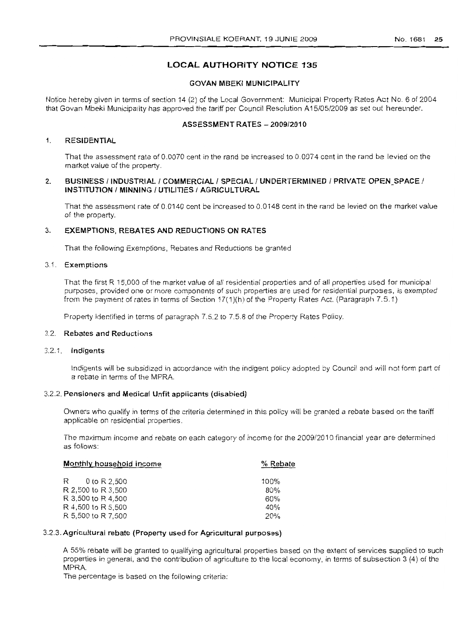#### No. 1681 25

## **LOCAL AUTHORITY NOTICE** 135

#### GOVAN MBEKI MUNICIPALITY

Notice hereby given in terms of section 14 (2) of the Local Government: Municipal Property Rates Act NO.6 of 2004 that Govan Mbeki Municipality has approved the tariff per Council Resolution A 15/05/2009 as set out hereunder.

## ASSESSMENT RATES - 2009/2010

### 1. RESIDENTIAL

That the assessment rate of 0.0070 cent in the rand be increased to 0.0074 cent in the rand be levied on the market value of the property.

### 2. BUSINESS / INDUSTRIAL / COMMERCIAL / SPECIAL / UNDERTERMINED / PRIVATE OPEN SPACE / INSTITUTION / MINNING / UTILITIES / AGRICULTURAL

That the assessment rate of 0.0140 cent be increased to 0.0148 cent in the rand be levied on the market value of the property.

#### 3. EXEMPTIONS, REBATES AND REDUCTIONS ON RATES

That the following Exemptions, Rebates and Reductions be granted

## 3.1. Exemptions

That the first R 15,000 of the market value of all residential properties and of all properties used for municipal purposes, provided one or more components of such properties are used for residential purposes, is exempted from the payment of rates in terms of Section 17( 1)(h) of the Property Rates Act. (Paragraph 7.5.1)

Property identified in terms of paragraph 7.5.2 to 7.5.8 of the Property Rates Policy.

## 3.2. Rebates and Reductions

## 3.2.1. Indigents

Indigents will be subsidized in accordance with the indigent poiicy adopted by Council and will not form part of a rebate in terms of the MPRA.

## 3.2.2. Pensioners and Medical Unfit applicants (disabled)

Owners who qualify in terms of the criteria determined in this policy will be granted a rebate based on the tariff applicable on residential properties.

The maximum income and rebate on each category of income for the 2009/2010 financial year are determined as follows:

| Monthly household income | % Rebate |
|--------------------------|----------|
| R 0 to R 2.500           | $100\%$  |
| R 2,500 to R 3,500       | 80%      |
| R 3,500 to R 4,500       | 60%      |
| R 4,500 to R 5,500       | 40%      |
| R 5,500 to R 7,500       | 20%      |

## 3.2.3. Agricultural rebate (Property used for Agricultural purposes)

A 55% rebate will be granted to qualifying agricultural properties based on the extent of services supplied to such properties in general, and the contribution of agriculture to the local economy, in terms of subsection 3 (4) of the MPRA.

The percentage is based on the following criteria: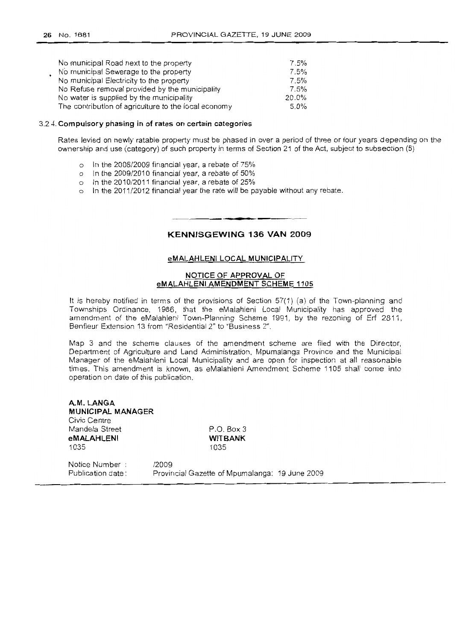| No municipal Road next to the property               | 7.5%    |
|------------------------------------------------------|---------|
| No municipal Sewerage to the property                | 7.5%    |
| No municipal Electricity to the property             | 7.5%    |
| No Refuse removal provided by the municipality       | 7.5%    |
| No water is supplied by the municipality             | 20.0%   |
| The contribution of agriculture to the local economy | $5.0\%$ |

#### 3.2.4. **Compulsory phasing in of rates on certain categories**

Rates levied on newly ratable property must be phased in over a period of three or four years depending on the ownership and use (category) of such property in terms of Section 21 of the Act, subject to subsection (5)

- o In the 2008/2009 financial year, a rebate of 75%
- o In the 2009/2010 financial year, a rebate of 50%
- o In the 2010/2011 financial year, a rebate of 25%
- o In the 2011/2012 financial year the rate will be payable without any rebate.

**KENNISGEWING 136 VAN 2009**

**• •**

#### **eMALAHLENI LOCAL MUNICIPAUTY**

#### **NOTICE OF APPROVAL OF eMALAHLENI AMENDMENT SCHEME 1105**

It is hereby notified in terms of the provisions of Section 57(1) (a) of the Town-planning and Townships Ordinance, 1986, that the eMalahleni Local Municipality has approved the amendment of the eMalahleni Town-Planning Scheme 1991, by the rezoning of Erf 2811, Benfleur Extension 13 from "Residential 2" to "Business 2".

Map 3 and the scheme clauses of the amendment scheme are filed with the Director, Department of Agriculture and Land Administration, Mpumalanga Province and the Municipal Manager of the eMalahleni Local Municipality and are open for inspection at all reasonable times. This amendment is known, as eMalahleni Amendment Scheme 1105 shall come into operation on date of this publication.

**A.M. LANGA MUNICIPAL MANAGER** Civic Centre Mandela Street **eMALAHLENI** 1035

P.O. Box 3 **WITBANK** 1035

Notice Number Publication date: /2009 Provincial Gazette of Mpumalanga: 19 June 2009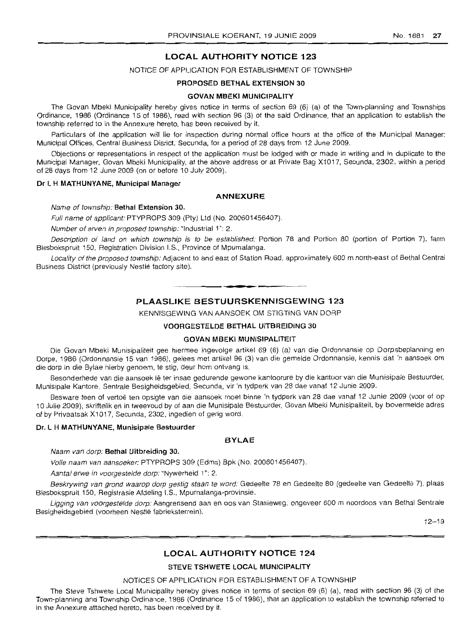## **LOCAL AUTHORITY NOTICE 123**

## NOTICE OF APPLICATION FOR ESTABLISHMENT OF TOWNSHIP

#### **PROPOSED BETHAL EXTENSION 30**

#### **GOVAN MBEKI MUNICIPALITY**

The Govan Mbeki Municipality hereby gives notice in terms of section 69 (6) (a) of the Town-planning and Townships Ordinance, 1986 (Ordinance 15 of 1986), read with section 96 (3) of the said Ordinance, that an application to establish the township referred to in the Annexure hereto, has been received by it.

Particulars of the application will lie for inspection during normal office hours at the office of the Municipal Manager: Municipal Offices, Central Business Disrict, Secunda, for a period of 28 days from 12 June 2009.

Objections or representations in respect of the application must be lodged with or made in writing and in duplicate to the Municipal Manager, Govan Mbeki Municipality, at the above address or at Private Bag X1017, Secunda, 2302, within a period of 28 days from 12 June 2009 (on or before 10 July 2009).

#### **Dr L H MATHUNYANE, Municipal Manager**

#### **ANNEXURE**

Name of township: **Bethal Extension** 30.

Full name of applicant: PTYPROPS 309 (Pty) Ltd (No. 200601456407).

Number of erven in proposed township: "Industrial 1": 2.

Description of land on which township is to be established: Portion 78 and Portion 80 (portion of Portion 7), farm Blesbokspruit 150, Registration Division I.S., Province of Mpumalanga.

Locality of the proposed township: Adjacent to and east of Station Road, approximately 600 m north-east of Bethal Central Business District (previously Nestle factory site).

**• •**

## **PLAASLIKE BESTUURSKENNISGEWrNG 123**

KENNISGEWING VAN AANSOEK OM STIGTING VAN DORP

#### **VOORGESTELDE BETHAL UITBREIDING 30**

## **GOVAN MBEKI MUNISIPALlTEIT**

Die Govan Mbeki Munisipaliteit gee hiermee ingevolge artikel 69 (6) (a) van die Ordonnansie op Dorpsbeplanninq en Darpe, 1986 (Ordonnansie 15 van 1986), gelees met artikel 96 (3) van die gemelde Ordannansie, kennis dat 'n aansoek om die dorp in die Bylae hierby genoem, te stig, deur hom ontvang is.

Besonderhede van die aansoek lê ter insae gedurende gewone kantoorure by die kantoor van die Munisipale Bestuurder, Munisipale Kantore, Sentrale Besigheidsgebied, Secunda, vir 'n tydperk van 28 dae vanaf 12 Junie 2009.

Besware teen of vertoë ten opsigte van die aansoek moet binne 'n tydperk van 28 dae vanaf 12 Junie 2009 (voor of op 10 Julie 2009), skriftefik en in tweevoud by of aan die Munisipale Bestuurder, Govan Mbeki Munisipaliteit, by bovermelde adres of by Privaatsak X1017, Secunda, 2302, ingedien of gerig word.

### **Dr. L H MATHUNYANE, Munisipale Bestuurder**

#### **BYLAE**

Naam van dorp: **Bethal Uitbreiding** 30.

Volle naam van aansoeker: PTYPROPS 309 (Edms) Bpk (No. 200601456407).

Aantal erwe in voorgestelde dorp: "Nywerheid 1": 2.

Beskrywing van grond waarop dorp gestig staan te word: Gedeelte 78 en Gedeelte 80 (gedeelte van Gedeelte 7), plaas Blesbokspruit 150, Registrasie Afdeling I.S., Mpumalanga-provinsie.

Ligging van voorgestelde dorp: Aangrensend aan en oos van Stasieweg, ongeveer 600 m noordoos van Bethal Sentrale Besigheidsgebied (voorheen Nestle fabrieksterrein).

 $12 - 19$ 

## **LOCAL AUTHORITY NOTICE 124**

#### **STEVE TSHWETE LOCAL MUNICIPALITY**

#### NOTICES OF APPLICATION FOR ESTABLISHMENT OF A TOWNSHIP

The Steve Tshwete Local Municipality hereby gives notice in terms of section 69 (6) (a), read with section 96 (3) of the Town-planning and Township Ordinance, 1986 (Ordinance 15 of 1986), that an application 10 establish the township referred to in the Annexure attached hereto, has been received by it.